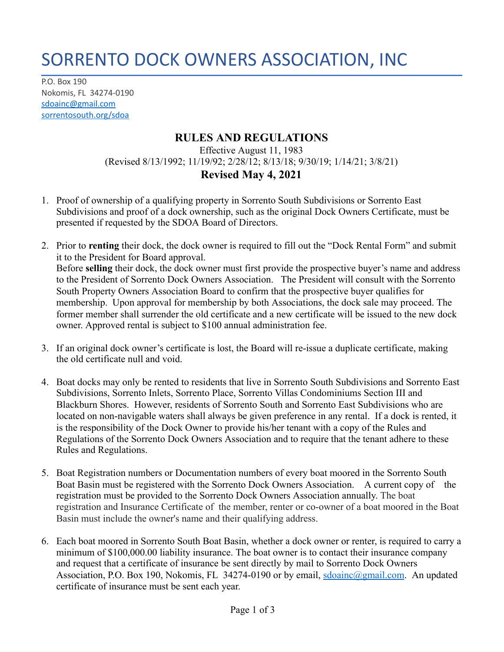## SORRENTO DOCK OWNERS ASSOCIATION, INC

P.O. Box 190 Nokomis, FL 34274-0190 [sdoainc@gmail.com](mailto:sdoainc@gmail.com) sorrentosouth.org/sdoa

## **RULES AND REGULATIONS**

Effective August 11, 1983 (Revised 8/13/1992; 11/19/92; 2/28/12; 8/13/18; 9/30/19; 1/14/21; 3/8/21) **Revised May 4, 2021**

- 1. Proof of ownership of a qualifying property in Sorrento South Subdivisions or Sorrento East Subdivisions and proof of a dock ownership, such as the original Dock Owners Certificate, must be presented if requested by the SDOA Board of Directors.
- 2. Prior to **renting** their dock, the dock owner is required to fill out the "Dock Rental Form" and submit it to the President for Board approval. Before **selling** their dock, the dock owner must first provide the prospective buyer's name and address to the President of Sorrento Dock Owners Association. The President will consult with the Sorrento South Property Owners Association Board to confirm that the prospective buyer qualifies for membership. Upon approval for membership by both Associations, the dock sale may proceed. The former member shall surrender the old certificate and a new certificate will be issued to the new dock owner. Approved rental is subject to \$100 annual administration fee.
- 3. If an original dock owner's certificate is lost, the Board will re-issue a duplicate certificate, making the old certificate null and void.
- 4. Boat docks may only be rented to residents that live in Sorrento South Subdivisions and Sorrento East Subdivisions, Sorrento Inlets, Sorrento Place, Sorrento Villas Condominiums Section III and Blackburn Shores. However, residents of Sorrento South and Sorrento East Subdivisions who are located on non-navigable waters shall always be given preference in any rental. If a dock is rented, it is the responsibility of the Dock Owner to provide his/her tenant with a copy of the Rules and Regulations of the Sorrento Dock Owners Association and to require that the tenant adhere to these Rules and Regulations.
- 5. Boat Registration numbers or Documentation numbers of every boat moored in the Sorrento South Boat Basin must be registered with the Sorrento Dock Owners Association. A current copy of the registration must be provided to the Sorrento Dock Owners Association annually. The boat registration and Insurance Certificate of the member, renter or co-owner of a boat moored in the Boat Basin must include the owner's name and their qualifying address.
- 6. Each boat moored in Sorrento South Boat Basin, whether a dock owner or renter, is required to carry a minimum of \$100,000.00 liability insurance. The boat owner is to contact their insurance company and request that a certificate of insurance be sent directly by mail to Sorrento Dock Owners Association, P.O. Box 190, Nokomis, FL 34274-0190 or by email, [sdoainc@gmail.com](mailto:sdoainc@gmail.com). An updated certificate of insurance must be sent each year.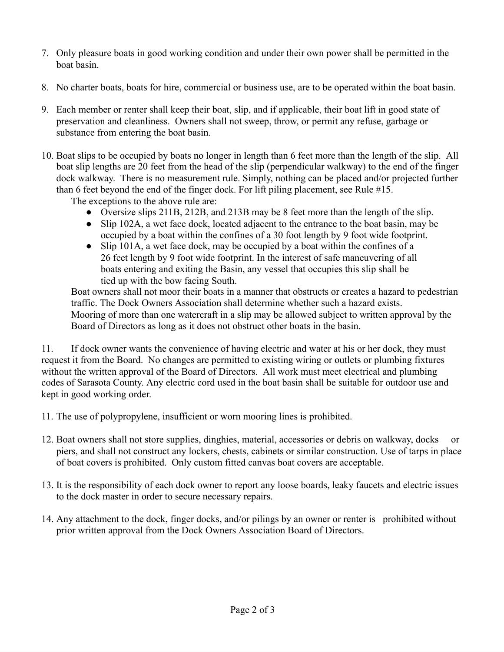- 7. Only pleasure boats in good working condition and under their own power shall be permitted in the boat basin.
- 8. No charter boats, boats for hire, commercial or business use, are to be operated within the boat basin.
- 9. Each member or renter shall keep their boat, slip, and if applicable, their boat lift in good state of preservation and cleanliness. Owners shall not sweep, throw, or permit any refuse, garbage or substance from entering the boat basin.
- 10. Boat slips to be occupied by boats no longer in length than 6 feet more than the length of the slip. All boat slip lengths are 20 feet from the head of the slip (perpendicular walkway) to the end of the finger dock walkway. There is no measurement rule. Simply, nothing can be placed and/or projected further than 6 feet beyond the end of the finger dock. For lift piling placement, see Rule #15.

The exceptions to the above rule are:

- Oversize slips 211B, 212B, and 213B may be 8 feet more than the length of the slip.
- Slip 102A, a wet face dock, located adjacent to the entrance to the boat basin, may be occupied by a boat within the confines of a 30 foot length by 9 foot wide footprint.
- Slip 101A, a wet face dock, may be occupied by a boat within the confines of a 26 feet length by 9 foot wide footprint. In the interest of safe maneuvering of all boats entering and exiting the Basin, any vessel that occupies this slip shall be tied up with the bow facing South.

Boat owners shall not moor their boats in a manner that obstructs or creates a hazard to pedestrian traffic. The Dock Owners Association shall determine whether such a hazard exists. Mooring of more than one watercraft in a slip may be allowed subject to written approval by the Board of Directors as long as it does not obstruct other boats in the basin.

11. If dock owner wants the convenience of having electric and water at his or her dock, they must request it from the Board. No changes are permitted to existing wiring or outlets or plumbing fixtures without the written approval of the Board of Directors. All work must meet electrical and plumbing codes of Sarasota County. Any electric cord used in the boat basin shall be suitable for outdoor use and kept in good working order.

- 11. The use of polypropylene, insufficient or worn mooring lines is prohibited.
- 12. Boat owners shall not store supplies, dinghies, material, accessories or debris on walkway, docks or piers, and shall not construct any lockers, chests, cabinets or similar construction. Use of tarps in place of boat covers is prohibited. Only custom fitted canvas boat covers are acceptable.
- 13. It is the responsibility of each dock owner to report any loose boards, leaky faucets and electric issues to the dock master in order to secure necessary repairs.
- 14. Any attachment to the dock, finger docks, and/or pilings by an owner or renter is prohibited without prior written approval from the Dock Owners Association Board of Directors.